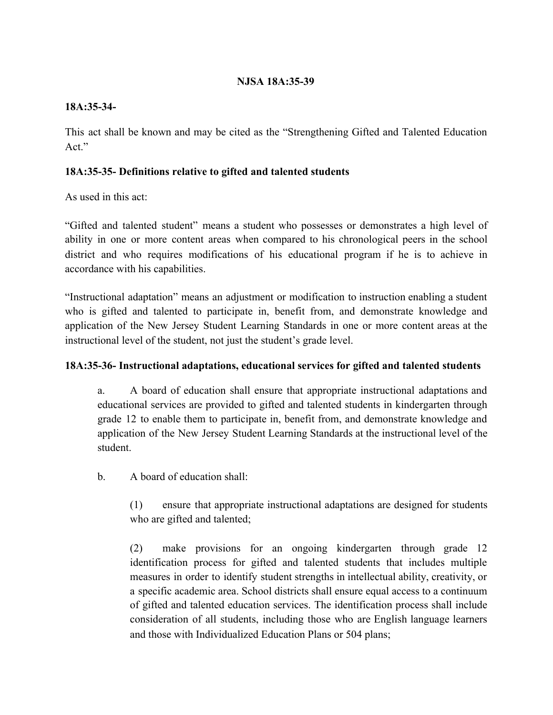## **NJSA 18A:35-39**

## **18A:35-34-**

This act shall be known and may be cited as the "Strengthening Gifted and Talented Education Act."

## **18A:35-35- Definitions relative to gifted and talented students**

As used in this act:

"Gifted and talented student" means a student who possesses or demonstrates a high level of ability in one or more content areas when compared to his chronological peers in the school district and who requires modifications of his educational program if he is to achieve in accordance with his capabilities.

"Instructional adaptation" means an adjustment or modification to instruction enabling a student who is gifted and talented to participate in, benefit from, and demonstrate knowledge and application of the New Jersey Student Learning Standards in one or more content areas at the instructional level of the student, not just the student's grade level.

### **18A:35-36- Instructional adaptations, educational services for gifted and talented students**

a. A board of education shall ensure that appropriate instructional adaptations and educational services are provided to gifted and talented students in kindergarten through grade 12 to enable them to participate in, benefit from, and demonstrate knowledge and application of the New Jersey Student Learning Standards at the instructional level of the student.

b. A board of education shall:

(1) ensure that appropriate instructional adaptations are designed for students who are gifted and talented;

(2) make provisions for an ongoing kindergarten through grade 12 identification process for gifted and talented students that includes multiple measures in order to identify student strengths in intellectual ability, creativity, or a specific academic area. School districts shall ensure equal access to a continuum of gifted and talented education services. The identification process shall include consideration of all students, including those who are English language learners and those with Individualized Education Plans or 504 plans;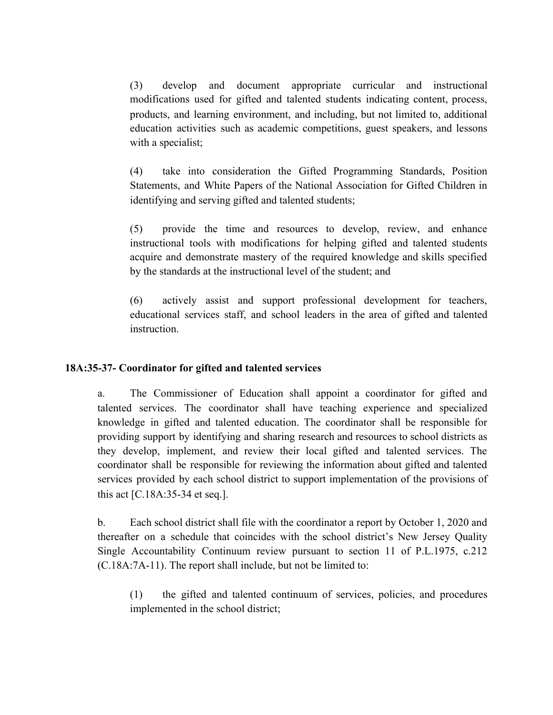(3) develop and document appropriate curricular and instructional modifications used for gifted and talented students indicating content, process, products, and learning environment, and including, but not limited to, additional education activities such as academic competitions, guest speakers, and lessons with a specialist;

(4) take into consideration the Gifted Programming Standards, Position Statements, and White Papers of the National Association for Gifted Children in identifying and serving gifted and talented students;

(5) provide the time and resources to develop, review, and enhance instructional tools with modifications for helping gifted and talented students acquire and demonstrate mastery of the required knowledge and skills specified by the standards at the instructional level of the student; and

(6) actively assist and support professional development for teachers, educational services staff, and school leaders in the area of gifted and talented instruction.

### **18A:35-37- Coordinator for gifted and talented services**

a. The Commissioner of Education shall appoint a coordinator for gifted and talented services. The coordinator shall have teaching experience and specialized knowledge in gifted and talented education. The coordinator shall be responsible for providing support by identifying and sharing research and resources to school districts as they develop, implement, and review their local gifted and talented services. The coordinator shall be responsible for reviewing the information about gifted and talented services provided by each school district to support implementation of the provisions of this act [C.18A:35-34 et seq.].

b. Each school district shall file with the coordinator a report by October 1, 2020 and thereafter on a schedule that coincides with the school district's New Jersey Quality Single Accountability Continuum review pursuant to section 11 of P.L.1975, c.212 (C.18A:7A-11). The report shall include, but not be limited to:

(1) the gifted and talented continuum of services, policies, and procedures implemented in the school district;